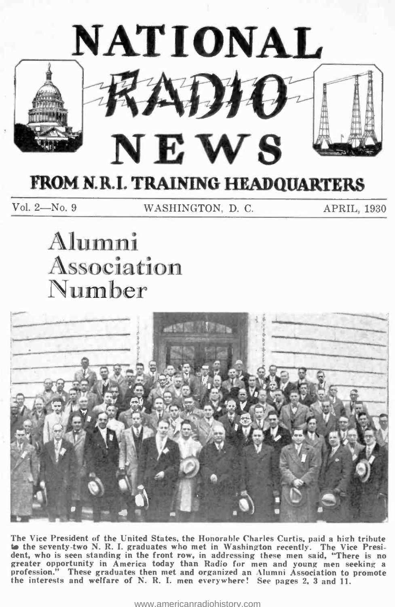

## FROM N.R.I. TRAINING HEADQUARTERS

Vol. 2-No. 9 WASHINGTON, D. C. APRIL, 1930

# Alumni Association<br>Number



The Vice President of the United States, the Honorable Charles Curtis. paid a hieh tribute to the seventy-two N. R. I. graduates who met in Washington recently. The Vice Presi-<br>dent, who is seen standing in the front row, in addressing these men said, "There is no greater opportunity in America today than Radio for men and young men seeking a<br>profession." These graduates then met and organized an Alumni Association to promote<br>the interests and welfare of N. R. I. men everywhere! See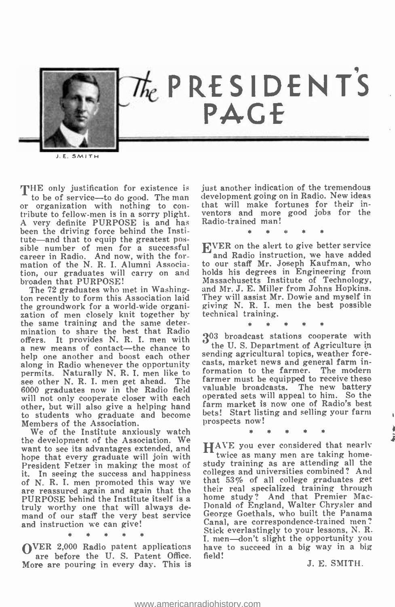

J.E. SMITH

THE only justification for existence is<br>to be of service—to do good. The man or organization with nothing to con-<br>tribute to fellow-men is in a sorry plight. A very definite PURPOSE is and has been the driving force behind the Institute-and that to equip the greatest possible number of men for a successful career in Radio. And now, with the formation of the N. R. I. Alumni Association, our graduates will carry on and broaden that PURPOSE!

The 72 graduates who met in Washington recently to form this Association laid the groundwork for a world -wide organi- zation of men closely knit together by the same training and the same determination to share the best that Radio offers. It provides N. R. I. men with  $3^0$ <br>a new means of contact—the chance to a new means of contact—the chance to<br>help one another and boost each other<br>along in Radio whenever the opportunity permits. Naturally N. R. I. men like to see other N. R. I. men get ahead. The 6000 graduates now in the Radio field valuable broadcasts. The new battery<br>will not only connerate closer with each operated sets will appeal to him. So the will not only cooperate closer with each other, but will also give a helping hand to students who graduate and become Members of the Association.

We of the Institute anxiously watch the development of the Association. We want to see its advantages extended, and hope that every graduate will join with President Fetzer in making the most of stu it. In seeing the success and happiness of N. R. I. men promoted this way we are reassured again and again that the PURPOSE behind the Institute itself is a truly worthy one that will always demand of our staff the very best service and instruction we can give!

OVER 2,000 Radio patent applications are before the U. S. Patent Office. More are pouring in every day. This is just another indication of the tremendous development going on in Radio. New ideas that will make fortunes for their inventors and more good jobs for the Radio-trained man!

\* \* \* \* \*

EVER on the alert to give better service and Radio instruction, we have added to our staff Mr. Joseph Kaufman, who holds his degrees in Engineering from Massachusetts Institute of Technology, and Mr. J. E. Miller from Johns Hopkins. They will assist Mr. Dowie and myself in giving N. R. I. men the best possible technical training.

\* \* \* \* \* 303 broadcast stations cooperate with the U. S. Department of Agriculture in sending agricultural topics, weather forecasts, market news and general farm information to the farmer. The modern farmer must be equipped to receive these valuable broadcasts. The new battery farm market is now one of Radio's best bets! Start listing and selling your farm prospects now!

\* \* \* \* \*

HAVE you ever considered that nearly<br>twice as many men are taking homestudy training as are attending all the colleges and universities combined? And that 53% of all college graduates get their real specialized training through home study? And that Premier Mac-Donald of England, Walter Chrysler and George Goethals, who built the Panama Canal, are correspondence -trained men? Stick everlastingly to your lessons, N. R. I. men-don't slight the opportunity you have to succeed in a big way in a big field!

J. E. SMITH.

4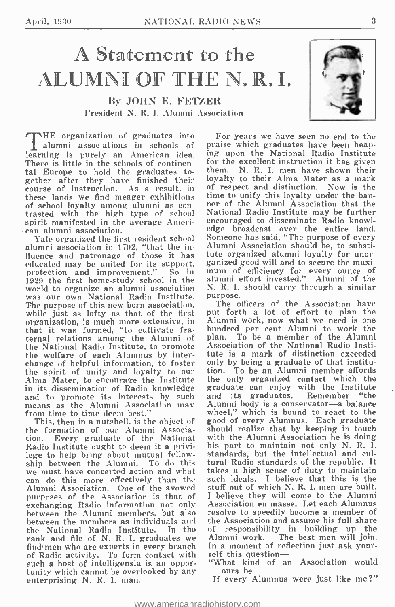## A Statement to the ALUMNI OF THE N. R. L

By JOHN E. FETZER President N. R. I. Alumni Association

alumni associations in schools of learning is purely an American idea. ing upon the National Radio Institute<br>There is little in the schools of continen. for the excellent instruction it has given There is little in the schools of continental Europe to hold the graduates together after they have finished their course of instruction. As a result, in these lands we find meager exhibitions of school loyalty among alumni as con- trasted with the high type of school spirit manifested in the average Ameri- can alumni association.

alumni association in 1792, "that the influence and patronage of those it has tut educated may be united for its support, ganized good will and to secure the maxi-<br>protection and improvement." So in mum of efficiency for every ounce of 1929 the first home -study school in the was our own National Radio Institute. purpose. The purpose of this new -born association, while just as lofty as that of the first organization, is much more extensive, in that it was formed, "to cultivate fraternal relations among the Alumni of the National Radio Institute, to promote the welfare of each Alumnus by interchange of helpful information, to foster the spirit of unity and loyalty to our Alma Mater, to encourage the Institute in its dissemination of Radio knowledge and to promote its interests by such means as the Alumni Association may from time to time deem best."

This, then in a nutshell. is the object of the formation of our Alumni Associa-Every graduate of the National Radio Institute ought to deem it a privilege to help bring about mutual fellowship between the Alumni. To do this we must have concerted action and what can do this more effectively than the Alumni Association. One of the avowed purposes of the Association is that of exchanging Radio information not only between the Alumni members. but also between the members as individuals and the National Radio Institute. In the rank and file of N. R. I. graduates we Alumen who are experts in every branch In find men who are experts in every branch In a moment of ref<br>of Radio activity. To form contact with self this question such a host of intelligensia is an oppor-<br>tunity which cannot be overlooked by any<br>enterprising N. R. I. man.



THE organization of graduates into For years we have seen no end to the alumni associations in schools of praise which graduates have been heap-**The organized the first resident school** Someone has said, "The purpose of every For years we have seen no end to the ing upon the National Radio Institute them. N. R. I. men have shown their loyalty to their Alma Mater as a mark of respect and distinction. Now is the time to unify this loyalty under the banner of the Alumni Association that the National Radio Institute may be further encouraged to disseminate Radio knowledge broadcast over the entire land. Alumni Association should be, to substitute organized alumni loyalty for unortute organized alumni loyalty for unor- ganized good will and to secure the maxi- mum of efficiency for every ounce of alumni effort invested." Alumni of the N. R. I. should carry through a similar

The officers of the Association have put forth a lot of effort to plan the Alumni work, now what we need is one hundred per cent Alumni to work the To be a member of the Alumni Association of the National Radio Institute is a mark of distinction exceeded only by being a graduate of that institution. To be an Alumni member affords the only organized contact which the graduate can enjoy with the Institute and its graduates. Remember "the Alumni body is a conservator-a balance wheel," which is bound to react to the good of every Alumnus. Each graduate should realize that by keeping in touch with the Alumni Association he is doing his part to maintain not only N. R. I. standards, but the intellectual and cultural Radio standards of the republic. It takes a high sense of duty to maintain such ideals. I believe that this is the stuff out of which N. R. I. men are built. I believe they will come to the Alumni Association en masse. Let each Alumnus resolve to speedily become a member of the Association and assume his full share of responsibility in building up the The best men will join. In a moment of reflection just ask your-

"What kind of an Association would ours be

If every Alumnus were just like me ?"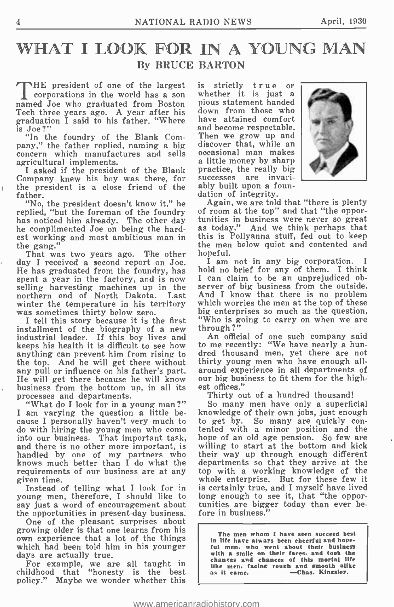## WHAT I LOOK FOR IN A YOUNG MAN By BRUCE BARTON

THE president of one of the largest is strictly true or<br>corporations in the world has a son whether it is just a corporations in the world has a son named Joe who graduated from Boston Tech three years ago. A year after his graduation I said to his father, "Where have attained comfort<br>is Joe?" and become respectable. is Joe ?"

"In the foundry of the Blank Com-<br>pany," the father replied, naming a big pany," the father replied, naming a big discover that, while an concern which manufactures and sells occasional man makes agricultural implements. a little money by sharp

agricultural implements. a<br>I asked if the president of the Blank pr Company knew his boy was there, for the president is a close friend of the ably built upon a f<br>father. dation of integrity. father.

replied, "but the foreman of the foundry has noticed him already. The other day he complimented Joe on being the hardest working and most ambitious man in this is Pollyanna stuff, fed out to keep<br>the gang." the men below quiet and contented and

That was two years ago. The other day I received a second report on Joe. He has graduated from the foundry, has spent a year in the factory, and is now I of<br>selling harvesting machines up in the ser northern end of North Dakota. Last Ant winter the temperature in his territory which was sometimes thirty below zero. big I tell this story because it is the first "W

I tell this story because it is the first<br>installment of the biography of a new<br>industrial leader. If this boy lives and keeps his health it is difficult to see how anything can prevent him from rising to the top. And he will get there without thirty young men who have enough all-<br>any pull or influence on his father's part. around experience in all departments of any pull or influence on his father's part. He will get there because he will know business from the bottom up, in all its<br>processes and departments.

I am varying the question a little because I personally haven't very much to do with hiring the young men who come into our business. That important task, and there is no other more important, is handled by one of my partners who knows much better than I do what the requirements of our business are at any given time.

Instead of telling what I look for in young men, therefore, I should like to long enough to see it, that "the oppor-<br>say just a word of encouragement about tunities are bigger today than ever besay just a word of encouragement about the opportunities in present-day business.

One of the pleasant surprises about<br>growing older is that one learns from his own experience that a lot of the things which had been told him in his younger days are actually true.

For example, we are all taught in childhood that "honesty is the best policy." Maybe we wonder whether this

pious statement handed down from those who have attained comfort Then we grow up and practice, the really big successes are invariably built upon a foun-



"No, the president doesn't know it," he condigin, we are told that "there is plenty<br>plied, "but the foreman of the foundry of room at the top" and that "the oppor-Again, we are told that "there is plenty tunities in business were never so great<br>as today." And we think perhaps that this is Pollyanna stuff, fed out to keep hopeful.

I am not in any big corporation. I hold no brief for any of them. I think I can claim to be an unprejudiced observer of big business from the outside. And I know that there is no problem which worries the men at the top of these big enterprises so much as the question, "Who is going to carry on when we are through?"

An official of one such company said to me recently: "We have nearly a hundred thousand men, yet there are not thirty young men who have enough allour big business to fit them for the highest offices."

Thirty out of a hundred thousand!

"What do I look for in a young man?" So many men have only a superficial knowledge of their own jobs, just enough to get by. So many are quickly con- tented with a minor position and the hope of an old age pension. So few are willing to start at the bottom and kick their way up through enough different departments so that they arrive at the top with a working knowledge of the whole enterprise. But for these few it is certainly true, and I myself have lived long enough to see it, that "the opporfore in business."

> The men whom I have seen succeed best in life have always been cheerful and hopeful men. who went about their business with a smile on their faces. and took the changes and chances of this mortal life like men. facing rough and smooth alike<br>as it came. - -Chas. Kingsley.

t.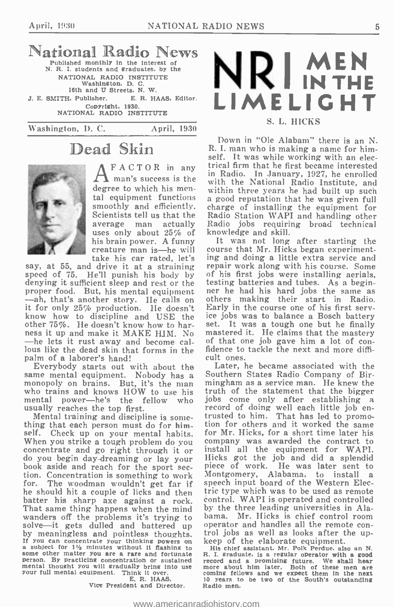### National Radio News Published monthly in the interest of N. R. I. students and graduates, by the

NATIONAL RADIO INSTITUTE Washington, D. C. 16th and U Streets. N. W. J. E. SMITH, Publisher. E. R. HAAS, Editor.<br>Copyright, 1930. Copyright, 1930. NATIONAL RADIO INSTITUTE

Washington, D. C. April. 1930

## Dead Skin



 $FACTOR$  in any  $trik$ man's success is the  $\frac{m}{w}$ smoothly and efficiently. Scientists tell us that the average man actually uses only about 25% of take his car rated, let's

proper food. But, heads and the story. He calls on it for only 25% production. He doesn't know how to discipline and USE the ice<br>other 75%. He doesn't know how to har-set.<br>ness it up and make it MAKE HJM. No mas<br>—he lets it rust away and become cal-of —he lets it rust away and become cal- of that one job gave him a lot of con-<br>lous like the dead skin that forms in the fidence to tackle the next and more diffi-<br>palm of a laborer's hand! cult ones. palm of a laborer's hand!

same mental equipment. Nobody has a Southern States Radio Company of Bir-<br>monopoly on brains. But, it's the man mingham as a service man. He knew the<br>who trains and knows HOW to use his truth of the statement that the big who trains and knows HOW to use his truth of the statement that the bigger<br>mental power—he's the fellow who jobs come only after establishing a mental power-he's the fellow who usually reaches the top first.

thing that each person must do for himthing that each person must do for him-<br>self. Check up on your mental habits. for Mr. Hicks, for a short time later his<br>When you strike a tough problem do you company was awarded the contract to concentrate and go right through it or do install all the equipment for WAPI.<br>do you begin day-dreaming or lay your Hicks got the job and did a splendid<br>book aside and reach for the sport sec- piece of work. He was later for. The woodman wouldn't get far if batter his sharp axe against a rock. That same thing happens when the mind by the three leading universities in Ala-<br>wanders off the problems it's trying to bama. Mr. Hicks is chief control room wanders off the problems it's trying to bama. Mr. Hicks is chief control room solve—it gets dulled and battered up operator and handles all the remote conby meaningless and pointless thoughts. It you can concentrate value and subject for 1'/2 minutes withinking powers on a subject for 1'/2 minutes without It flashing to Bischief assistant. Mr. Polk Perdue, also an N. Some o person. By practicing concentration or sustained mental thought you will gradually bring into use your full mental equipment. Think it over.<br>F. R. HAAS,

Vice President and Director. Radio men.



#### S. L. HICKS

degree to which his men-<br>tal equipment functions a good reputation that he was given full Down in "Ole Alabam" there is an N. R. I. man who is making a name for himself. It was while working with an electrical firm that he first became interested in Radio. In January, 1927, he enrolled with the National Radio Institute, and within three years he had built up such charge of installing the equipment for Radio Station WAPI and handling other Radio jobs requiring broad technical knowledge and skill.

creature man is—he will course that Mr. Hicks began experimentsay, at 55, and drive it at a straining repair work along with his course. Some speed of 75. He'll punish his body by of his first jobs were installing aerials, denying it sufficient sleep and rest or the testing batteries It was not long after starting the ing and doing a little extra service and repair work along with his course. Some of his first jobs were installing aerials, ner he had his hard jobs the same as others making their start in Radio. Early in the course one of his first servset. It was a tough one but he finally mastered it. He claims that the mastery of that one job gave him a lot of con-

> Later, he became associated with the Southern States Radio Company of Birmingham as a service man. He knew the record of doing well each little job en-<br>trusted to him. That has led to promocompany was awarded the contract to install all the equipment for WAPI. Hicks got the job and did a splendid piece of work. He was later sent to Montgomery, Alabama, to install a speech input board of the Western Electric type which was to be used as remote control. WAPI is operated and controlled by the three leading universities in Ala-

exercise and a promising future. We shall hear<br>more about him later. Both of these men are<br>coming fellows and we expect them in the next<br>10 years to be two of the South's outstanding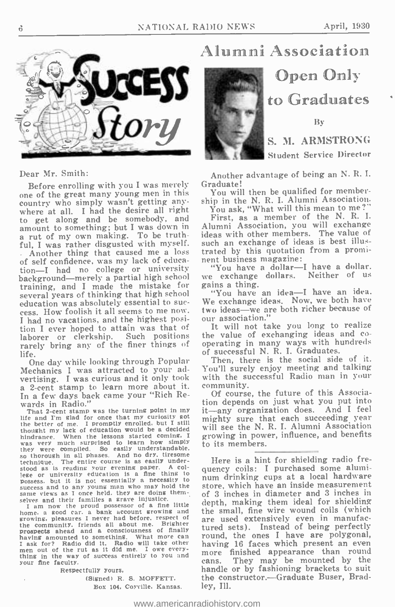

Dear Mr. Smith:

Before enrolling with you I was merely one of the great many young men in this country who simply wasn't getting anywhere at all. I had the desire all right to get along and be somebody, and<br>amount to something; but I was down in a rut of my own making. To be truthful, I was rather disgusted with myself. - Another thing that caused me a loss of self confidence, was my lack of education-I had no college or university "You have a dollar-I have a dollar. background—merely a partial high school we exchange<br>training and I made the mistake for gains a thing. training, and I made the mistake for gains a thing.<br>several years of thinking that high school "You have an idea—I have an idea. several years of thinking that high school<br>education was absolutely essential to suceess. How foolish it all seems to me now.<br>I had no vacations, and the highest position I ever hoped to attain was that of<br>laborer or clerkship. Such positions laborer or clerkship. Such positions the value of exchanging ideas and co-<br>rarely bring any of the finer things of operating in many ways with hundreds rarely bring any of the finer things of

life. One day while looking through Popular Mechanics I was attracted to your advertising. I was curious and it only took a 2-cent stamp to learn more about it. In a few days back came your "Rich Rewards in Radio."<br>That 2-cent stamp was the turning point in my

That 2-cent stamp was the turning point in my<br>tilfe and I'm glad for once that my curiosity got<br>the better of me. I promptly enrolled, but I still<br>thought my lack of education would be a decided<br>W hindrance. When the lessons started coming, I<br>was very much surprised to learn how simply<br>thay were commethed to learn how simply they were compiled. So easily understandable.<br>so thorough in all phases. And no dry. tiresome<br>technique. The entire course is as easily under-The entire course is as easily under-<br>reading your evening paper. A colstood as is reading your evening paper. lege or university education is a fine thing to possess. and to any young man who may hold the same views as I once held. they are doing them-selves and to heir families a grave injustice.

I am now the proud possessor of a fine little home. a good car. a bank account growing and the growing, pleasures I never had before. respect of a the community. friends all about me. Brighter prospects ahead and a consciousness of finally hask for? Radio did it. Radio will take other men out of the rut as it did me. I owe everymen out of the rut as it did me. I owe every-<br>thing in the way of success entirely to you and more finished appearance than round<br>cans. They may be mounted by the your fine faculty.

Respectfully yours.

(Signed) R. S. MOFFETT. Box 104, Coyville, Kansas.

## Alumni Association



Open Only

to Graduates

By

S. M. ARMSTRONG Student Service Director

Another advantage of being an N. R. I. Graduate!

You will then be qualified for membership in the N. R. I. Alumni Association. You ask, "What will this mean to me?"

First, as a member of the N. R. I. Alumni Association, you will exchange ideas with other members. The value of such an exchange of ideas is best illustrated by this quotation from a prominent business magazine:

we exchange dollars. Neither of us

We exchange ideas. Now, we both have two ideas—we are both richer because of<br>our association."

It will not take you long to realize the value of exchanging ideas and coof successful N. R. I. Graduates.

Then, there is the social side of it. You'll surely enjoy meeting and talking with the successful Radio man in your community.

Of course, the future of this Association depends on just what you put into it-any organization does. And I feel mighty sure that each succeeding year will see the N. R. I. Alumni Association growing in power, influence, and benefits to its members.

Here is a hint for shielding radio frequency coils: I purchased some alumi- num drinking cups at a local hardware store, which have an inside measurement of 3 inches in diameter and 3 inches in depth, making them ideal for shielding the small, fine wire wound coils (which are used extensively even in manufactured sets). Instead of being perfectly round, the ones I have are polygonal, having 16 faces which present an even They may be mounted by the handle or by fashioning brackets to suit the constructor.-Graduate Buser, Bradley, Ill.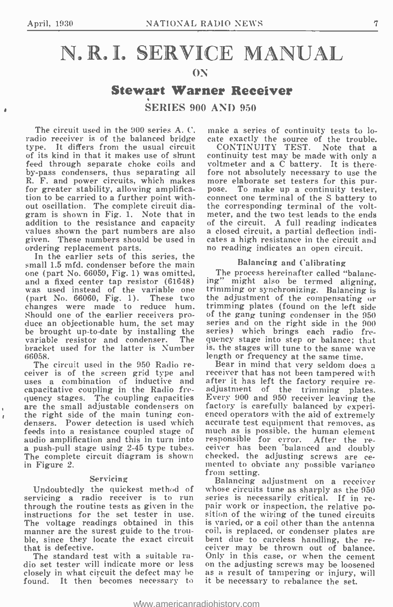$\mathbf{r}$ 

## N.R.I. SERVICE MANUAL

#### ON

### Stewart Warner Receiver

SERIES 900 AND 950

The circuit used in the 900 series A. C. radio receiver is of the balanced bridge cate exactly the source of the trouble.<br>type. It differs from the usual circuit CONTINUITY TEST. Note that a type. It differs from the usual circuit CONTINUITY TEST. Note that a<br>of its kind in that it makes use of shunt continuity test may be made with only a of its kind in that it makes use of shunt feed through separate choke coils and by-pass condensers, thus separating all fore not absolutely necessary to use the R. F. and power circuits, which makes more elaborate set testers for this pur-R. F. and power circuits, which makes for greater stability, allowing amplifica- tion to be carried to a further point without oscillation. The complete circuit dia-gram is shown in Fig. 1. Note that in addition to the resistance and capacity of<br>values shown the part numbers are also a c values shown the part numbers are also a closed circuit, a partial deflection in given. These numbers should be used in cates a high resistance in the circuit a ordering replacement parts. These in the proportion or readin

In the earlier sets of this series, the small 1.5 mfd. condenser before the main one (part No. 66059, Fig. 1) was omitted, The process hereinafter called "balanc-<br>and a fixed center tap resistor (61648) ing" might also be termed aligning, and a fixed center tap resistor (61648) ing<br>was used instead of the variable one trin<br>(part No. 66060, Fig. 1). These two the changes were made to reduce hum. Should one of the earlier receivers produce an objectionable hum, the set may series and on the right side in the 900 be brought up-to-date by installing the<br>variable resistor and condenser. The variable resistor and condenser. The que<br>bracket used for the latter is Number is,

66058.<br>The circuit used in the 950 Radio re-The circuit used in the 950 Radio re-<br>ceiver is of the screen grid type and rec uses a combination of inductive and capacitative coupling in the Radio frecapacitative coupling in the Radio fre-<br>quency stages. The coupling capacities Every 900 and 950 receiver leaving the<br>are the small adjustable condensers on factory is carefully balanced by experiare the small adjustable condensers on factory is carefully balanced by experi-<br>the right side of the main tuning con- enced operators with the aid of extremely<br>densers. Power detection is used which accurate test equipmen feeds into a resistance coupled stage of much as is possible, the human element audio amplification and this in turn into responsible for error. After the reaudio amplification and this in turn into responsible for error. After the re-<br>a push-pull stage using 2-45 type tubes. ceiver has been balanced and doubly The complete circuit diagram is shown checked, the adjusting screws are ce-<br>in Figure 2. The mented to obviate any possible variance in Figure 2.

#### Servicing

Undoubtedly the quickest method of servicing a radio receiver is to run ser through the routine tests as given in the pair work or inspection, the relative po-<br>instructions for the set tester in use. sition of the wiring of the tuned circuits instructions for the set tester in use. The voltage readings obtained in this manner are the surest guide to the trouble, since they locate the exact circuit that is defective.

The standard test with a suitable radio set tester will indicate more or less on the adjusting screws may be loosened closely in what circuit the defect may be as a result of tampering or injury, will closely in what circuit the defect may he found. It then becomes necessary to

make a series of continuity tests to locate exactly the source of the trouble.

voltmeter and a C battery. It is therefore not absolutely necessary to use the more elaborate set testers for this pur-To make up a continuity tester, connect one terminal of the S battery to the corresponding terminal of the voltmeter, and the two test leads to the ends of the circuit. A full reading indicates a closed circuit, a partial deflection indicates a high resistance in the circuit and

#### Balancing and Calibrating

ing" might also be termed aligning,<br>trimming or synchronizing. Balancing is the adjustment of the compensating or trimming plates (found on the left side of the gang tuning condenser in the 950 series) which brings each radio frequency stage into step or balance; that is, the stages will tune to the same wave length or frequency at the same time.

receiver that has not been tampered with<br>after it has left the factory require re-<br>adjustment of the trimming plates.<br>Every 900 and 950 receiver leaving the checked, the adjusting screws are ce-<br>mented to obviate any possible variance<br>from setting.

Balancing adjustment on a receiver whose circuits tune as sharply as the 950 series is necessarily critical. If in reis varied, or a coil other than the antenna coil, is replaced, or condenser plates are bent due to careless handling, the re-<br>ceiver may be thrown out of balance. Only in this case, or when the cement it be necessary to rebalance the set.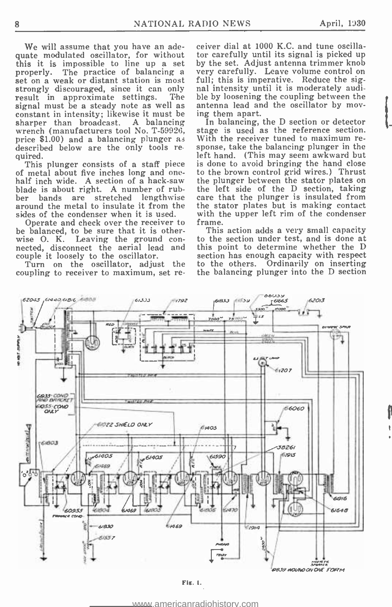We will assume that you have an adequate modulated oscillator, for without this it is impossible to line up a set properly. The practice of balancing a very carefully. Leave volume control on set on a weak or distant station is most full; this is imperative. Reduce the sigstrongly discouraged, since it can only nal intensity until it is moderately audi-<br>result in approximate settings. The ble by loosening the coupling between the<br>signal must be a steady note as well as antenna lead and the signal must be a steady note as well as antenna lead an constant in intensity; likewise it must be ing them apart.<br>sharper than broadcast. A balancing In balancing, wrench (manufacturers tool No. T-59926, stage is used as the reference section.<br>price \$1.00) and a balancing plunger as With the receiver tuned to maximum redescribed below are the only tools required.<br>This plunger consists of a staff piece<br>of metal about five inches long and one-

half inch wide. A section of a hack-saw<br>blade is about right. A number of rub-<br>ber bands are stretched lengthwise around the metal to insulate it from the sides of the condenser when it is used.

Operate and check over the receiver to be balanced, to be sure that it is other-<br>wise O. K. Leaving the ground connected, disconnect the aerial lead and couple it loosely to the oscillator.

Turn on the oscillator, adjust the to the others. coupling to receiver to maximum, set re-

ceiver dial at 1000 K.C. and tune oscillator carefully until its signal is picked up by the set. Adjust antenna trimmer knob very carefully. Leave volume control on nal intensity until it is moderately audible by loosening the coupling between the

In balancing, the D section or detector stage is used as the reference section. sponse, take the balancing plunger in the left hand. (This may seem awkward but is done to avoid bringing the hand close to the brown control grid wires.) Thrust the plunger between the stator plates on the left side of the D section, taking care that the plunger is insulated from the stator plates but is making contact with the upper left rim of the condenser frame.

This action adds a very small capacity to the section under test, and is done at this point to determine whether the D section has enough capacity with respect<br>to the others. Ordinarily on inserting the balancing plunger into the D section



<www.americanradiohistory.com>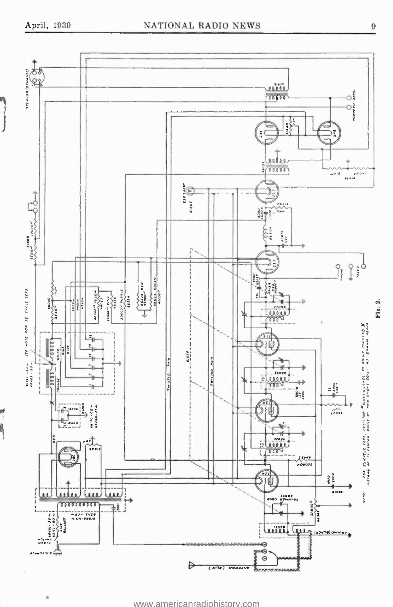ò

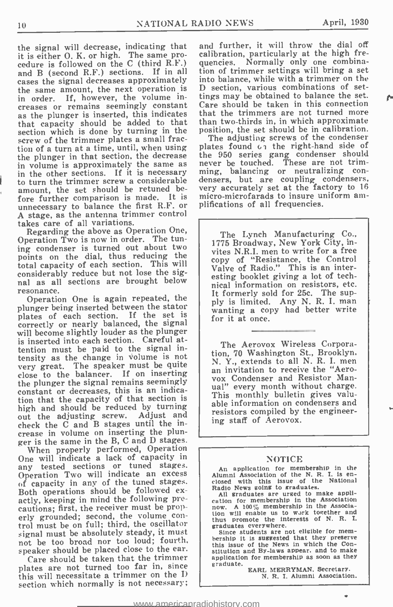r-

the signal will decrease, indicating that it is either O. K. or high. The same procedure is followed on the C (third R.F.) and B (second R.F.) sections. If in all cases the signal decreases approximately the same amount, the next operation is in order. If, however, the volume increases or remains seemingly constant as the plunger is inserted, this indicates that capacity should be added to that that section which is done by turning in the screw of the trimmer plates a small fracscrew of the trimmer plates a small fraction of a turn at a time, until, when using the plunger in that section, the decrease in volume is approximately the same as never be touched. These are not trim-<br>in the other sections. If it is necessary ming, balancing or neutralizing conin the other sections. If it is necessary to turn the trimmer screw a considerable amount, the set should be retuned be-<br>fore further comparison is made. It is unnecessary to balance the first R.F. or plifications of all frequencies.<br>A stage, as the antenna trimmer control takes care of all variations.

Regarding the above as Operation One. Operation Two is now in order. The tuning condenser is turned out about two points on the dial, thus reducing the total capacity of each section. This will considerably reduce but not lose the signal as all sections are brought below resonance.

Operation One is again repeated, the Operation One is again repeated, the ply is limited. Any N. R. I. man plunger being inserted between the stator  $\begin{array}{c|c}$  ply is limited. Any N. R. I. man plates of each section. If the set is correctly or nearly balanced, the signal will become slightly louder as the plunger is inserted into each section. Careful attention must be paid to the signal in tensity as the change in volume is not very great. The speaker must be quite very great. The speaker must be quite<br>close to the balancer. If on inserting<br>wox Condenser and Resistor Manthe plunger the signal remains seemingly constant or decreases, this is an indication that the capacity of that section is high and should be reduced by turning out the adjusting screw. Adjust and check the C and B stages until the increase in volume on inserting the plun ger is the same in the B, C and D stages.

When properly performed, Operation One will indicate a lack of capacity in any tested sections or tuned stages. Operation Two will indicate an excess of capacity in any of the tuned stages. of capacity in any of the tuned stages.<br>Both operations should be followed ex-<br>actly, keeping in mind the following precautions; first, the receiver must be properly grounded; second, the volume con-<br>trol must be on full; third, the oscillator and thus promote the in signal must be absolutely steady, it must not be too broad nor too loud; fourth, let this issue of the News in which the Conspeaker should be placed close to the ear.

Care should be taken that the trimmer application plates are not turned too far in, since this will necessitate a trimmer on the I) section which normally is not necessary;

and further, it will throw the dial off calibration, particularly at the high frequencies. Normally only one combination of trimmer settings will bring a set into balance, while with a trimmer on the D section, various combinations of settings may be obtained to balance the set. Care should be taken in this connection that the trimmers are not turned more than two- thirds in, in which approximate position, the set should be in calibration.

The adjusting screws of the condenser plates found  $c_1$  the right-hand side of the 950 series gang condenser should never be touched. These are not trimdensers, but are coupling condensers, very accurately set at the factory to 16 micro-microfarads to insure uniform am-

The Lynch Manufacturing Co., 1775 Broadway, New York City, invites N.R.I. men to write for a free copy of "Resistance, the Control Valve of Radio." This is an interesting booklet giving a lot of technical information on resistors, etc. It formerly sold for 25c. The supwanting a copy had better write for it at once.

The Aerovox Wireless Corporation, 70 Washington St., Brooklyn. N. Y., extends to all N. R. I. men an invitation to receive the "Aero- vox Condenser and Resistor Manual" every month without charge. This monthly bulletin gives valu able information on condensers and resistors compiled by the engineering staff of Aerovox.

#### NOTICE

An application for membership in the Alumni Association of the N. R. I. is en- closed with this issue of the National

Radio News going to graduates.<br>All graduates are urged to make application for membership in the Association<br>now. A 100%, membership in the Associa-<br>tion will enable us to work together and<br>thus promote the interests of N. R. I.

Since students are not eligible for memthis issue of the News in which the Constitution and By -laws appear. and to make application for membership as soon as they

EARL MERRYMAN. Secretary.<br>N. R. I. Alumni Association.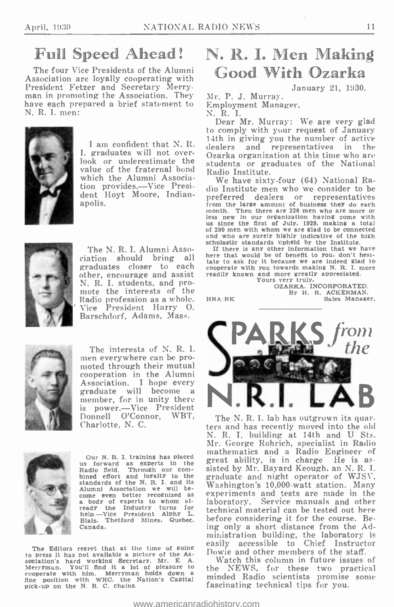## Full Speed Ahead!

The four Vice Presidents of the Alumni Association are loyally cooperating with President Fetzer and Secretary Merry-<br>man in promoting the Association. They Mr. P. J. Murray. have each prepared a brief statement to N. R. I. men:



<sup>I</sup>am confident that N. R. I. graduates will not over-<br>look or underestimate the value of the fraternal bond which the Alumni Association provides.-Vice President Hoyt Moore, Indianapolis.



The N. R. I. Alumni Assograduates closer to each other, encourage and assist N. R. I. students, and pro-mote the interests of the Radio profession as a whole. Vice President Harry O. Barschdorf, Adams, Mass.



The interests of N. R. I. men everywhere can be promoted through their mutual cooperation in the Alumni graduate will become a member, for in unity there is power.-Vice President<br>Donnell O'Connor, WBT. Donnell O'Connor, WBT, The N.R.I. lab has outgrown its quar-Charlotte, N. C.



Our N. R. I. training has placed us forward as experts in the standards of the N. R. I. and its<br>Alumni Association we will be-Alumni Association we will be-<br>come even better recognized as a body of experts to whom al-<br>ready the Industry turns for<br>help.—Vice President Alphy L. Biais. Thetford Mines, Quebec. Canada.

The Editors regret that at the time of going<br>to press it has not available a picture of the As-<br>sociation's hard working Secretary, Mr. E. A. sociation. Merryman. You'll find it a lot of pleasure to cooperate with him. Merryman holds down a fine position with WRC, the Nation's Capital pick-up on the N. B. C. chains.

## N. R. I. Men Making Good With Ozarka

January 21, 1930.

Employment Manager,

N. R. I.

Dear Mr. Murray: We are very glad<br>to comply with your request of January 14th in giving you the number of active dealers and representatives in the Ozarka organization at this time who are students or graduates of the National Radio Institute.

We have sixty -four (64) National Radio Institute men who we consider to be preferred dealers or representatives from the large amount of business they do each month. Then there are 226 men who are more or month. Then there are 226 men who are more or less new in our organization having come with us since the first of July. 1929, making a total us since the first of July. 1929, making a total of 290 men with whom we are glad and who are surely highly indicative of the high scholastic standards upheld by the Institute.

ciation should bring all here that would be of benefit to you, don't nesi-<br>tate to ask for it because we are indeed glad to If there is any other information that we have here that would be of benefit to you, don't hesitate to ask for it because we are independent with you towards making N. R. I. more readily known and more greatly appreciated. Yours very truly,

OZARKA, INCORPORATED.<br>By H. R. ACKERMAN. Sales Manager.



bined effort and loyalty to the graduate and night operator of WJSV, standards of the N. E. 1 and its Washington's 10,000-watt station. Many ters and has recently moved into the old N. R. I. building at 14th and U Sts. Mr. George Rohrich, specialist in Radio mathematics and a Radio Engineer of great ability, is in charge He is as- sisted by Mr. Bayard Keough, an N. R. I. graduate and night operator of WJSV, experiments and tests are made in the laboratory. Service manuals and other technical material can be tested out here before considering it for the course. Being only a short distance from the Administration building, the laboratory is easily accessible to Chief Instructor Dowie and other members of the staff.

> Watch this column in future issues of the NEWS, for these two practical minded Radio scientists promise some fascinating technical tips for you.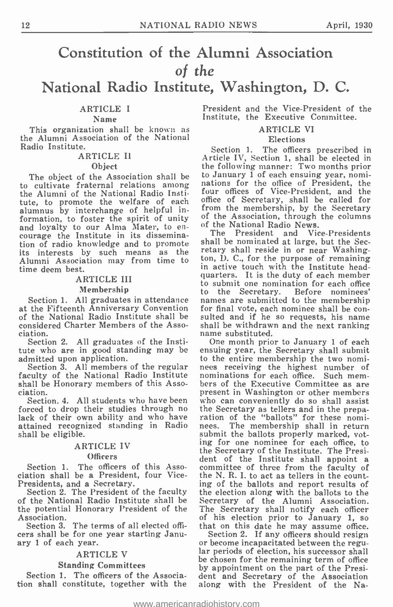### Constitution of the Alumni Association of the National Radio Institute, Washington, D. C.

#### ARTICLE I

#### Name

This organization shall be known as the Alumni Association of the National Radio Institute.

#### ARTICLE Il Object

The object of the Association shall be to cultivate fraternal relations among the Alumni of the National Radio Institute, to promote the welfare of each office alumnus by interchange of helpful information, to foster the spirit of unity of the Association, through the columns<br>and loyalty to our Alma Mater, to en-<br>of the National Radio News. courage the Institute in its dissemination of radio knowledge and to promote its interests by such means as the Alumni Association may from time to time deem best.

### ARTICLE III

#### Membership

at the Fifteenth Anniversary Convention of the National Radio Institute shall be sulted and if he so requests, his name considered Charter Members of the Asso-<br>shall be withdrawn and the next ranking considered Charter Members of the Association.

Section 2. All graduates of the Institute who are in good standing may be admitted upon application.<br>Section 3. All members of the regular

Section 3. All members of the regular nees receiving the highest number of faculty of the National Radio Institute nominations for each office. Such mem-<br>shall be Honorary members of this Asso- bers of the Executive Commit shall be Honorary members of this Association.

Section. 4. All students who have been forced to drop their studies through no the Se<br>lack of their own ability and who have ration<br>attained recognized standing in Radio nees. attained recognized standing in Radio shall be eligible.

#### ARTICLE IV

#### **Officers**

Section 1. The officers of this Association shall be a President, four Vice-Presidents, and a Secretary.

Section 2. The President of the faculty of the National Radio Institute shall be the potential Honorary President of the Association.

Section 3. The terms of all elected officers shall be for one year starting January 1 of each year.

#### ARTICLE V

#### Standing Committees

Section 1. The officers of the Association shall constitute, together with the President and the Vice -President of the Institute, the Executive Committee.

#### ARTICLE VI

#### Elections

Section 1. The officers prescribed in Article IV, Section 1, shall be elected in the following manner: Two months prior to January  $\bar{1}$  of each ensuing year, nominations for the office of President, the four offices of Vice -President, and the office of Secretary, shall be called for from the membership, by the Secretary of the National Radio News.

Membership to the Secretary. Before nominees'<br>Section 1. All graduates in attendance names are submitted to the membership<br>the Fifteenth Anniversary Convention for final vote, each nominee shall be con-The President and Vice-Presidents shall be nominated at large, but the Secretary shall reside in or near Washington, D. C., for the purpose of remaining in active touch with the Institute headquarters. It is the duty of each member to submit one nomination for each office sulted and if he so requests, his name<br>shall be withdrawn and the next ranking<br>name substituted.

One month prior to January 1 of each ensuing year, the Secretary shall submit to the entire membership the two nominominations for each office. Such mempresent in Washington or other members who can conveniently do so shall assist the Secretary as tellers and in the prepa- ration of the "ballots" for these nomi- nees. The membership shall in return submit the ballots properly marked, voting for one nominee for each office, to the Secretary of the Institute. The President of the Institute shall appoint a committee of three from the faculty of the N. R. I. to act as tellers in the counting of the ballots and report results of the election along with the ballots to the Secretary of the Alumni Association. The Secretary shall notify each officer of his election prior to January 1, so that on this date he may assume office.

Section 2. If any officers should resign or become incapacitated between the regular periods of election, his successor shall be chosen for the remaining term of office by appointment on the part of the President and Secretary of the Association along with the President of the Na-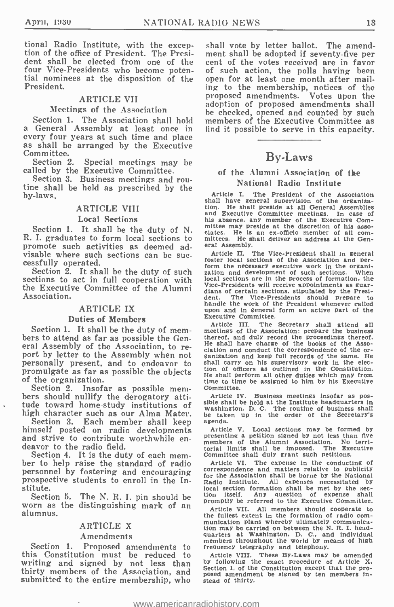tional Radio Institute, with the excep- tion of the office of President. The President shall be elected from one of the four Vice- Presidents who become poten- tial nominees at the disposition of the President.

#### ARTICLE VII

Meetings of the Association<br>Section 1. The Association shall hold a General Assembly at least once in<br>every four years at such time and place as shall be arranged by the Executive

Committee.<br>Section 2. Special meetings may be called by the Executive Committee.

Section 3. Business meetings and rou-<br>tine shall be held as prescribed by the by -laws.

#### ARTICLE VIII

#### Local Sections

R. I. graduates to form local sections to promote such activities as deemed ad-

sections to act in full cooperation with  $\frac{1}{2}$  local sections are in the process of formation, the the Executive Committee of the Alumni Vice-Presidents will receive appointments as guarthe Executive Committee of the Alumni Association.

#### ARTICLE IX

#### Duties of Members

Section 1. It shall be the duty of members to attend as far as possible the General Assembly of the Association, to report by letter to the Assembly when not change anization and keep full records of the same. personally present, and to endeavor to

of the organization.<br>Section 2. Insofar as possible mem-<br>bers should nullify the derogatory attitude toward home -study institutions of

high character such as our Alma Mater. We take<br>Section 3. Each member shall keep agenda. himself posted on radio developments<br>and strive to contribute worthwhile en-<br>deavor to the radio field.

Section 4. It is the duty of each mem-<br>ber to help raise the standard of radio<br>personnel by fostering and encouraging prospective students to enroll in the Institute.<br>Section 5.

Section 5. The N. R. I. pin should be worn as the distinguishing mark of an alumnus.

#### ARTICLE X

#### Amendments

Section 1. Proposed amendments to this Constitution must be reduced to Article VIII. These By-Laws may be amended<br>writing and sigmed hy not less than by following the exact procedure of Article X. writing and signed by not less than thirty members of the Association, and Section 1. of the Constitution except that the prosubmitted to the entire membership, who

shall vote by letter ballot. The amendment shall be adopted if seventy -five per cent of the votes received are in favor of such action, the polls having been open for at least one month after mailing to the membership, notices of the proposed amendments. Votes upon the adoption of proposed amendments shall be checked, opened and counted by such members of the Executive Committee as find it possible to serve in this capacity.

#### By -Laws

#### of the Alumni Association of the National Radio Institute

Section 1. It shall be the duty of N. Inverting the section of the asset-<br>I. graduates to form local sections to mittees. He is an ex-officio member of all com-Article I. The President of the Association<br>shall have general supervision of the organizashall have general supervision of the organiza- tion. He shall preside at all General Assemblies and Executive Committee meetings. In case of his absence, any member of the Executive Com-<br>mittee may preside at the discretion of his asso-<br>ciates. He is an ex-officio member of all com-<br>mittees. He shall deliver an address at the General Assembly.

visable where such sections can be suc-<br>cessfully operated. Section and periods of the Association and periods of such section and periods of the duty of such zation and development of such sections. When<br>Section 2. It sha Fice II. The Vice of the Association and per-<br>form the necessary executive work in the organi-<br>zation and development of such sections. When local sections are in the process of formation, the Vice -Presidents will receive appointments as guar- dians of certain sections. stipulated by the Presi-dent. The Vice- Presidents should prepare to handle the work of the President whenever called upon and in general form an active part of the Executive Committee.

Article III. The Secretary shall attend all meetings of the Association; prepare the business thereof, and duly record the proceedings thereof. He shall have charge of the books of the Association and conduct the correspondence of the orshall carry on his supervisory work in the elec-tion of officers as outlined in the Constitution. He shall perform all other duties which may from time to time be assigned to him by his Executive Committee.

Article IV. Business meetings insofar as pos-<br>sible shall be held at the Institute headquarters in<br>Washington. D. C. The routine of business shall be taken up in the order of the Secretary's

Article V. Local sections may be formed by presenting a petition signed by not less than five members of the Alumni Association. No terri-<br>torial limits shall be imposed. The Executive<br>torial limits shall be imposed. The E Committee shall duly grant such petitions.

Article VI. The expense in the conducting of<br>correspondence and matters relative to publicity<br>for the Association shall be borne by the National for the Association shall be borne by the National Radio Institute. All expenses necessitated by local section formation shall be met by the sec-<br>tion itself. Any question of expense shall promptly be referred to the Executive Committee.<br>Article VII. All members should cooperate to

Article VII. All members should cooperate to<br>the fullest extent in the formation of radio com-<br>munication plans whereby ultimately communica-<br>tion may be carried on between the N. R. I. head-<br>quarters at Washington. D. C.,

Article VIII. These By -Laws may be amended Section 1. of the Constitution except that the prostead of thirty.

<www.americanradiohistory.com>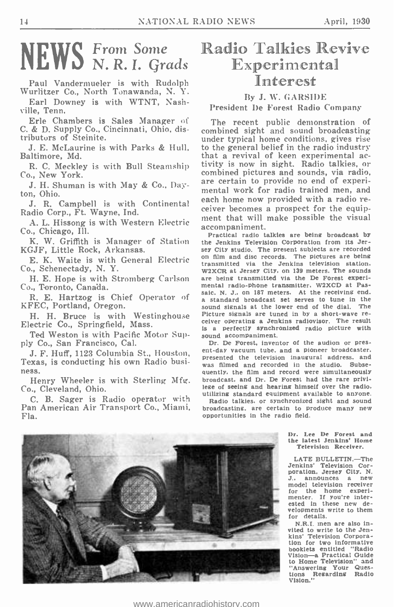#### NEW? **Erom Some** N. R. I. Grads

Paul Vandermueler is with Rudolph Wurlitzer Co., North Tonawanda, N. Y.

Earl Downey is with WTNT, Nashville, Tenn.

Erle Chambers is Sales Manager of C. & D. Supply Co., Cincinnati, Ohio, distributors of Steinite.

Baltimore, Md.

Co., New York.

J. H. Shuman is with May & Co., Dayton, Ohio.

Radio Corp., Ft. Wayne, Ind.

A. L. Hissong is with Western Electric netric that will Co., Chicago, Ill.

K. W. Griffith is Manager of Station KGJF, Little Rock, Arkansas.

E. K. Waite is with General Electric Co., Schenectady, N. Y.

H. E. Hope is with Stromberg Carlson Co., Toronto, Canada.

R. E. Hartzog is Chief Operator of KFEC, Portland, Oregon.

H. H. Bruce is with Westinghouse Electric Co., Springfield, Mass.

Ted Weston is with Pacific Motor Supply Co., San Francisco, Cal.

J. F. Huff, 1123 Columbia St., Houston, Texas, is conducting his own Radio busi- ness.

Henry Wheeler is with Sterling Mfg. Co., Cleveland, Ohio.

C. B. Sager is Radio operator with Pan American Air Transport Co., Miami, broadcasting, are certain to produce the control of the radio field. Fla.

## Radio Talkies Revive Experimental Interest

#### By J. W. GARSIDE

#### President De Forest Radio Company

J. E. McLaurine is with Parks & Hull, to the general belief in the radio industry<br>altimore, Md. experimental ac-R. C. Meckley is with Bull Steamship tivity is now in sight. Radio talkies, or 1. Sinc.<br>J. R. Campbell is with Continental each home now provided with a radio re-The recent public demonstration of combined sight and sound broadcasting under typical home conditions, gives rise combined pictures and sounds, via radio, are certain to provide no end of experimental work for radio trained men, and ceiver becomes a prospect for the equipment that will make possible the visual

> Practical radio talkies are being broadcast by the Jenkins Television Corporation from its Jersey City studio. The present subjects are recorded on film and disc records. The pictures are being transmitted via the Jenkins television station.<br>W2XCR at Jersey City, on 139 meters. The sounds are being transmitted via the De Forest experimental radio -phone transmitter. W2XCD at Passaic. N. J., on 187 meters. At the receiving end. <sup>a</sup>standard broadcast set serves to tune in the sound signals at the lower end of the dial. The Picture signals are tuned in by a short-wave receiver operating a Jenkins radiovisor. The result is a perfectly synchronized radio picture with sound accompaniment.

> Dr. De Forest, inventor of the audion or present -day vacuum tube. and a pioneer broadcaster. presented the television inaugural address. and was filmed and recorded in the studio. Subsequently, the film and record were simultaneously broadcast, and Dr. De Forest had the rare privilege of seeing and hearing himself over the radio. utilizing standard equipment available to anyone.

> Radio talkies. or synchronized sight and sound broadcasting. are certain to produce many new

> > Dr. Lee De Forest and the latest Jenkins' Home Television Receiver.

LATE BULLETIN.-The Jenkins' Television Cor-<br>poration, Jersey City, N. J., announces a new model television receiver for the home experi-menter. If you're interested in these new developments write to them for details.

N.R.I. men are also invited to write to the Jen-<br>kins' Television Corporation for two informative booklets entitled "Radio booklets entitled "Radio<br>Vision—a Practical Guide<br>to Home Television" and "Answering Your Ques-tions Regarding Radio Vision."



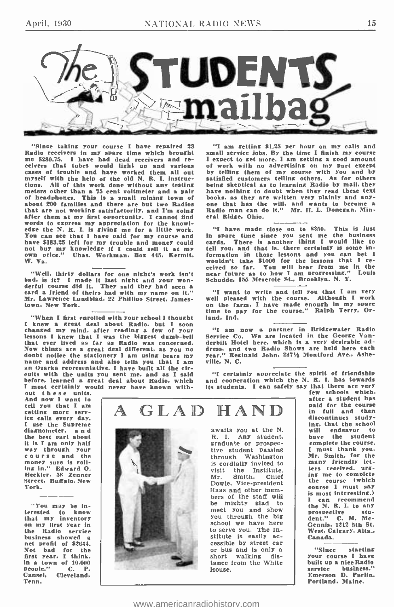

"Since taking your course I have repaired 23  $^{\prime\prime}$  I am getting \$1.25 per hour on my calls and Radio receivers in my spare time which brought small service Jobs. By the time I finish my course the me \$280.75. I have ha myself with the help of the old N. R. I. instruc-<br>tions. All of this work done without any testing tions. All of this work done without any testing being skeptical as to learning Radio by mail, they meters other than a 75 cent voltmeter and a pair have nothing to doubt when they read these text of headphones. This is a that are not working satisfactorily, and I'm going after them at my first opportunity. I cannot find words to express my appreciation for the knowl-edge the N. R. L is giving me for a little work. edge the N. R. I. is giving me for a little work. "I have made close on to \$250. This is just<br>You can see that I have paid for my course and in spare time since you sent me the business<br>have \$183.25 left for my trouble and not buy my knowledge if I could sell it at my<br>own price." Chas. Workman. Box 445. Kermit.<br>W. Va.

"Well, thirty dollars for one night's work isn't unded, is it? I made it last night and your won-<br>derful course did it. They said they had seen a<br>card a friend of theirs had with my name on it." card a friend of theirs had with my name on it."<br>Mr. Lawrence Lundblad, 22 Phillips Street, James-<br>town. New York.

"When I first enrolled with your school I thought<br>I knew a great deal about Radio. but I soon<br>changed my mind. after reading a few of your<br>lessons I knew that I was the biggest dumb-bell<br>that ever lived as far as Radio was Now things are a great deal different, as you no doubt notice the stationery I am using bears my name and address and also tells you that I am Ozarka representative. I have built all the circuits with the units you sent me. and as I said I most certainly would never have known with-

"I am getting \$1.25 per hour on my calls and small service jobs. By the time I finish my course I expect to get more. I am getting a good amount of work with no advertising on my part except by telling them of my course with you and by have nothing to doubt when they read these text books. as they are written very plainly and any- one that has the will. and wants to become a Radio man ran do it." Mr. H. L. Donegan. Mineral Ridge, Ohio.

"I have made close on to \$250. This is just in spare time since you sent me the business cards. There is another thing I would like to tell you, and that is. there certainly is some information in those lessons and you can bet I<br>wouldn't take \$1000 for the lessons that I re-<br>ceived so far. You will hear from me in the<br>near future as to how I am progressing." Louis Schudde, 155 Meserole St., Brooklyn. N. Y.

"I want to write and tell you that I am very well pleased with the course. Although I work on the farm, I have made enough in my spare time to pay for the course." Ralph Terry, Orland, Ind.

"I am now a partner in Bridgewater Radio Service Co. We are located in the George Van-<br>derbilt Hotel here. which is a very desirable address. and two Radio Shows are held here each year." Reginald John, 287% Montford Ave., Asheville, N. C.

"I certainly appreciate the spirit of friendship and cooperation which the N. R. I. has towards its students. I can safely say that there are very

out these units.<br>And now I want to tell you that I am<br>
setting more serv-<br>
ice calls every day.<br>
I use the Supreme<br>
diagnometer, a n d<br>
the best part about it is I am only half course and the money sure is roll-<br>ing in." Edward O. ing in." Edward O. Heckler, 58 Zenner Street, Buffalo, New York.

"You may be interested to know<br>that my inventory on my first year in<br>the Radio service the Radio business showed a net profit of \$2044. Not bad for the first year. I think. in a town of  $10,000$ <br>people."  $C. P.$ Cansel, Cleveland. Teno.



awaits you at the N.<br>R. I. Any student.<br>graduate or prospective student passing<br>is cordially invited to<br>is cordially invited to<br>visit the Institute.<br>Mr. Smith. Chief Mr. Smith. Chief<br>Dowie, Vice-president Haas and other mem-<br>bers of the staff will be mighty glad to<br>meet you and show<br>you through the big school we have here<br>to serve you. The In-<br>stitute is easily accessible by street car<br>or bus and is only a<br>short walking distance from the White House.

few schools which. after a student has<br>paid for the course in full and then discontinues studying. that the school will endeavor to have the student complete the course. I must thank you. Mr. Smith, for the many friendly let-<br>ters received. ursing me to complete<br>the course (which<br>course I must say is most interesting.)<br>I can recommend I can recommend the N. R. I. to any prospective stu-dent." C. M. Mc-Gennis. 1212 5th St. West. Calgary, Alta.. Canada.

"Since starting your course I have built up a nice Radio<br>service business." business." Emerson D. Parlin, Portland. Maine.